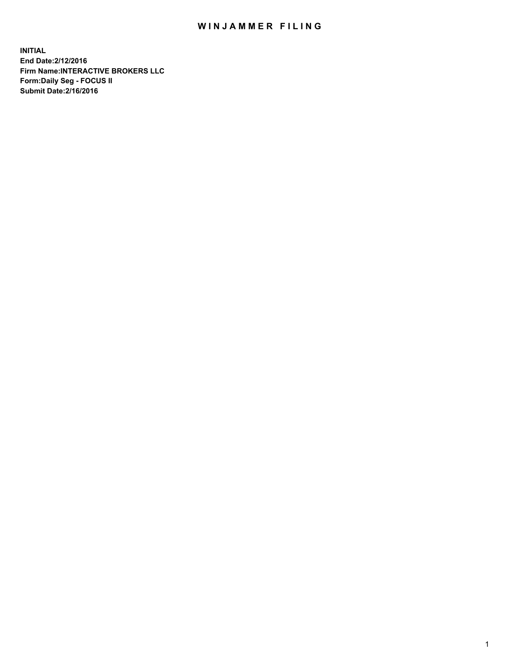## WIN JAMMER FILING

**INITIAL End Date:2/12/2016 Firm Name:INTERACTIVE BROKERS LLC Form:Daily Seg - FOCUS II Submit Date:2/16/2016**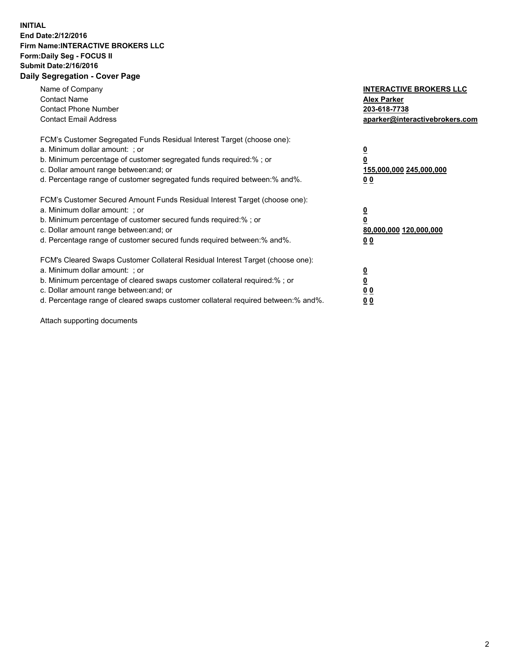## **INITIAL End Date:2/12/2016 Firm Name:INTERACTIVE BROKERS LLC Form:Daily Seg - FOCUS II Submit Date:2/16/2016 Daily Segregation - Cover Page**

| Name of Company<br><b>Contact Name</b><br><b>Contact Phone Number</b><br><b>Contact Email Address</b>                                                                                                                                                                                                                          | <b>INTERACTIVE BROKERS LLC</b><br><b>Alex Parker</b><br>203-618-7738<br>aparker@interactivebrokers.com |
|--------------------------------------------------------------------------------------------------------------------------------------------------------------------------------------------------------------------------------------------------------------------------------------------------------------------------------|--------------------------------------------------------------------------------------------------------|
| FCM's Customer Segregated Funds Residual Interest Target (choose one):<br>a. Minimum dollar amount: ; or<br>b. Minimum percentage of customer segregated funds required:%; or<br>c. Dollar amount range between: and; or<br>d. Percentage range of customer segregated funds required between:% and%.                          | <u>0</u><br>155,000,000 245,000,000<br><u>00</u>                                                       |
| FCM's Customer Secured Amount Funds Residual Interest Target (choose one):<br>a. Minimum dollar amount: ; or<br>b. Minimum percentage of customer secured funds required:%; or<br>c. Dollar amount range between: and; or<br>d. Percentage range of customer secured funds required between:% and%.                            | <u>0</u><br>80,000,000 120,000,000<br><u>00</u>                                                        |
| FCM's Cleared Swaps Customer Collateral Residual Interest Target (choose one):<br>a. Minimum dollar amount: ; or<br>b. Minimum percentage of cleared swaps customer collateral required:% ; or<br>c. Dollar amount range between: and; or<br>d. Percentage range of cleared swaps customer collateral required between:% and%. | <u>0</u><br>0 <sub>0</sub><br>0 <sub>0</sub>                                                           |

Attach supporting documents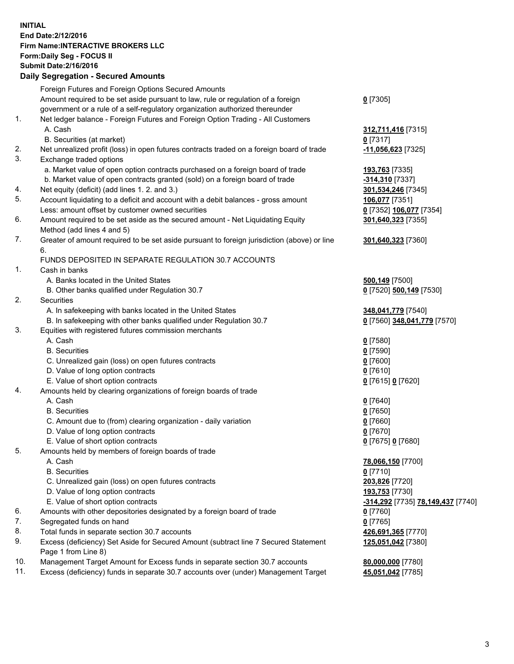## **INITIAL End Date:2/12/2016 Firm Name:INTERACTIVE BROKERS LLC Form:Daily Seg - FOCUS II Submit Date:2/16/2016 Daily Segregation - Secured Amounts**

|                | Dany Ocgregation - Oceanea Amounts                                                          |                                                |
|----------------|---------------------------------------------------------------------------------------------|------------------------------------------------|
|                | Foreign Futures and Foreign Options Secured Amounts                                         |                                                |
|                | Amount required to be set aside pursuant to law, rule or regulation of a foreign            | $0$ [7305]                                     |
|                | government or a rule of a self-regulatory organization authorized thereunder                |                                                |
| 1.             | Net ledger balance - Foreign Futures and Foreign Option Trading - All Customers             |                                                |
|                | A. Cash                                                                                     | 312,711,416 [7315]                             |
|                | B. Securities (at market)                                                                   | $0$ [7317]                                     |
| 2.             | Net unrealized profit (loss) in open futures contracts traded on a foreign board of trade   | $-11,056,623$ [7325]                           |
| 3.             | Exchange traded options                                                                     |                                                |
|                | a. Market value of open option contracts purchased on a foreign board of trade              | 193,763 [7335]                                 |
|                | b. Market value of open contracts granted (sold) on a foreign board of trade                | -314,310 [7337]                                |
| 4.             | Net equity (deficit) (add lines 1.2. and 3.)                                                | 301,534,246 [7345]                             |
| 5.             | Account liquidating to a deficit and account with a debit balances - gross amount           | 106,077 [7351]                                 |
|                | Less: amount offset by customer owned securities                                            | 0 [7352] 106,077 [7354]                        |
| 6.             | Amount required to be set aside as the secured amount - Net Liquidating Equity              |                                                |
|                |                                                                                             | 301,640,323 [7355]                             |
| 7.             | Method (add lines 4 and 5)                                                                  |                                                |
|                | Greater of amount required to be set aside pursuant to foreign jurisdiction (above) or line | 301,640,323 [7360]                             |
|                | 6.<br>FUNDS DEPOSITED IN SEPARATE REGULATION 30.7 ACCOUNTS                                  |                                                |
| $\mathbf{1}$ . |                                                                                             |                                                |
|                | Cash in banks                                                                               |                                                |
|                | A. Banks located in the United States                                                       | <b>500,149</b> [7500]                          |
|                | B. Other banks qualified under Regulation 30.7                                              | 0 [7520] 500,149 [7530]                        |
| 2.             | <b>Securities</b>                                                                           |                                                |
|                | A. In safekeeping with banks located in the United States                                   | 348,041,779 [7540]                             |
|                | B. In safekeeping with other banks qualified under Regulation 30.7                          | 0 [7560] 348,041,779 [7570]                    |
| 3.             | Equities with registered futures commission merchants                                       |                                                |
|                | A. Cash                                                                                     | $0$ [7580]                                     |
|                | <b>B.</b> Securities                                                                        | $0$ [7590]                                     |
|                | C. Unrealized gain (loss) on open futures contracts                                         | $0$ [7600]                                     |
|                | D. Value of long option contracts                                                           | $0$ [7610]                                     |
|                | E. Value of short option contracts                                                          | 0 [7615] 0 [7620]                              |
| 4.             | Amounts held by clearing organizations of foreign boards of trade                           |                                                |
|                | A. Cash                                                                                     | $0$ [7640]                                     |
|                | <b>B.</b> Securities                                                                        | $0$ [7650]                                     |
|                | C. Amount due to (from) clearing organization - daily variation                             | $0$ [7660]                                     |
|                | D. Value of long option contracts                                                           | $0$ [7670]                                     |
|                | E. Value of short option contracts                                                          | 0 [7675] 0 [7680]                              |
| 5.             | Amounts held by members of foreign boards of trade                                          |                                                |
|                | A. Cash                                                                                     | 78,066,150 [7700]                              |
|                | <b>B.</b> Securities                                                                        | $0$ [7710]                                     |
|                | C. Unrealized gain (loss) on open futures contracts                                         | 203,826 [7720]                                 |
|                | D. Value of long option contracts                                                           | 193,753 [7730]                                 |
|                | E. Value of short option contracts                                                          | <mark>-314,292</mark> [7735] 78,149,437 [7740] |
| 6.             | Amounts with other depositories designated by a foreign board of trade                      | $0$ [7760]                                     |
| 7.             | Segregated funds on hand                                                                    | $0$ [7765]                                     |
| 8.             | Total funds in separate section 30.7 accounts                                               | 426,691,365 [7770]                             |
| 9.             | Excess (deficiency) Set Aside for Secured Amount (subtract line 7 Secured Statement         | 125,051,042 [7380]                             |
|                | Page 1 from Line 8)                                                                         |                                                |
| 10.            | Management Target Amount for Excess funds in separate section 30.7 accounts                 | 80,000,000 [7780]                              |
| 11.            | Excess (deficiency) funds in separate 30.7 accounts over (under) Management Target          | 45,051,042 [7785]                              |
|                |                                                                                             |                                                |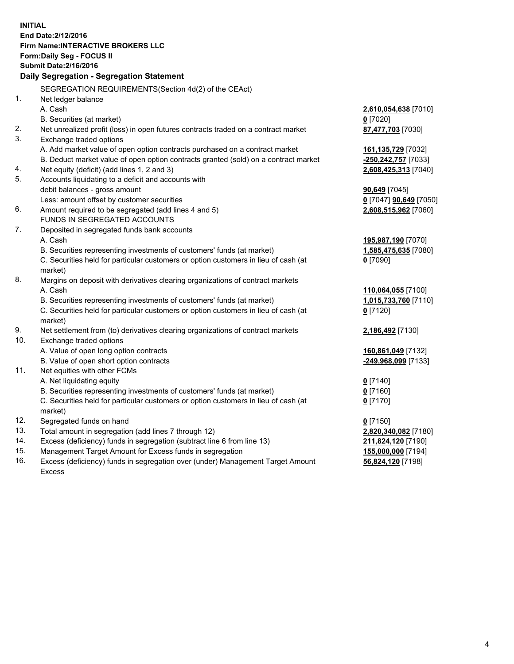**INITIAL End Date:2/12/2016 Firm Name:INTERACTIVE BROKERS LLC Form:Daily Seg - FOCUS II Submit Date:2/16/2016 Daily Segregation - Segregation Statement** SEGREGATION REQUIREMENTS(Section 4d(2) of the CEAct) 1. Net ledger balance A. Cash **2,610,054,638** [7010] B. Securities (at market) **0** [7020] 2. Net unrealized profit (loss) in open futures contracts traded on a contract market **87,477,703** [7030] 3. Exchange traded options A. Add market value of open option contracts purchased on a contract market **161,135,729** [7032] B. Deduct market value of open option contracts granted (sold) on a contract market **-250,242,757** [7033] 4. Net equity (deficit) (add lines 1, 2 and 3) **2,608,425,313** [7040] 5. Accounts liquidating to a deficit and accounts with debit balances - gross amount **90,649** [7045] Less: amount offset by customer securities **0** [7047] **90,649** [7050] 6. Amount required to be segregated (add lines 4 and 5) **2,608,515,962** [7060] FUNDS IN SEGREGATED ACCOUNTS 7. Deposited in segregated funds bank accounts A. Cash **195,987,190** [7070] B. Securities representing investments of customers' funds (at market) **1,585,475,635** [7080] C. Securities held for particular customers or option customers in lieu of cash (at market) **0** [7090] 8. Margins on deposit with derivatives clearing organizations of contract markets A. Cash **110,064,055** [7100] B. Securities representing investments of customers' funds (at market) **1,015,733,760** [7110] C. Securities held for particular customers or option customers in lieu of cash (at market) **0** [7120] 9. Net settlement from (to) derivatives clearing organizations of contract markets **2,186,492** [7130] 10. Exchange traded options A. Value of open long option contracts **160,861,049** [7132] B. Value of open short option contracts **-249,968,099** [7133] 11. Net equities with other FCMs A. Net liquidating equity **0** [7140] B. Securities representing investments of customers' funds (at market) **0** [7160] C. Securities held for particular customers or option customers in lieu of cash (at market) **0** [7170] 12. Segregated funds on hand **0** [7150] 13. Total amount in segregation (add lines 7 through 12) **2,820,340,082** [7180] 14. Excess (deficiency) funds in segregation (subtract line 6 from line 13) **211,824,120** [7190] 15. Management Target Amount for Excess funds in segregation **155,000,000** [7194]

16. Excess (deficiency) funds in segregation over (under) Management Target Amount Excess

**56,824,120** [7198]